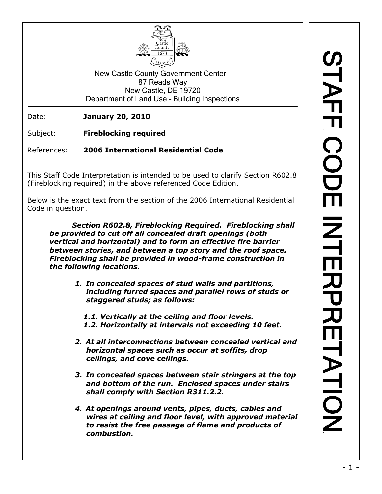

New Castle County Government Center 87 Reads Way New Castle, DE 19720 Department of Land Use – Building Inspections

Date: **January 20, 2010**

Subject: **Fireblocking required**

References: **2006 International Residential Code**

This Staff Code Interpretation is intended to be used to clarify Section R602.8 (Fireblocking required) in the above referenced Code Edition.

Below is the exact text from the section of the 2006 International Residential Code in question.

*Section R602.8, Fireblocking Required. Fireblocking shall be provided to cut off all concealed draft openings (both vertical and horizontal) and to form an effective fire barrier between stories, and between a top story and the roof space. Fireblocking shall be provided in wood-frame construction in the following locations.*

> *1. In concealed spaces of stud walls and partitions, including furred spaces and parallel rows of studs or staggered studs; as follows:*

*1.1. Vertically at the ceiling and floor levels. 1.2. Horizontally at intervals not exceeding 10 feet.*

- *2. At all interconnections between concealed vertical and horizontal spaces such as occur at soffits, drop ceilings, and cove ceilings.*
- *3. In concealed spaces between stair stringers at the top and bottom of the run. Enclosed spaces under stairs shall comply with Section R311.2.2.*
- *4. At openings around vents, pipes, ducts, cables and wires at ceiling and floor level, with approved material to resist the free passage of flame and products of combustion.*